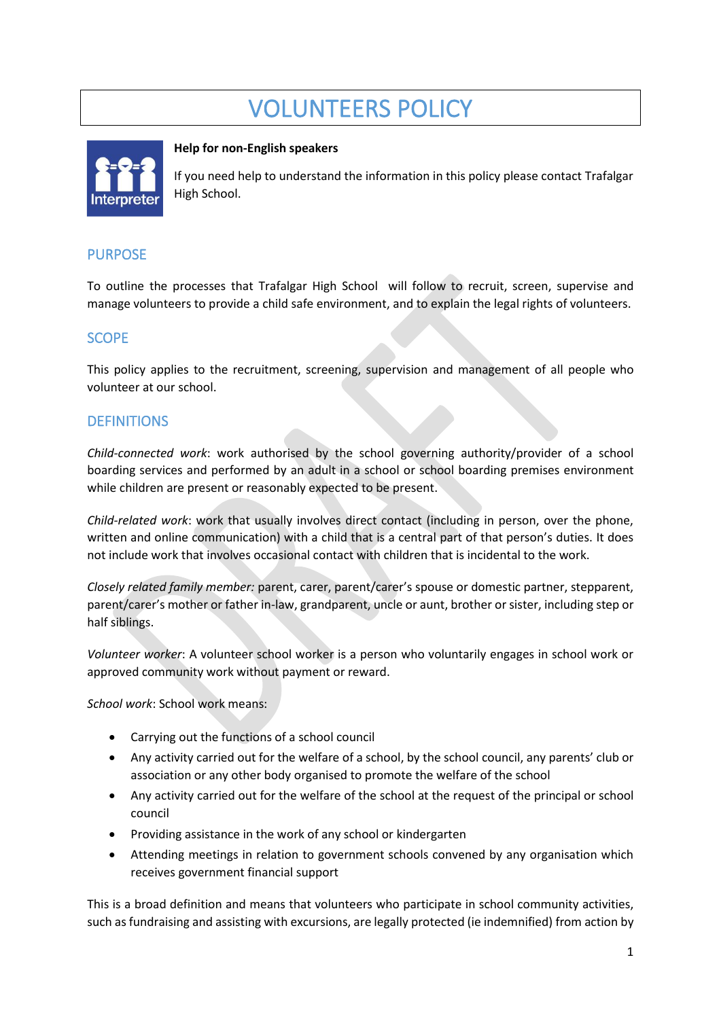# VOLUNTEERS POLICY



## **Help for non-English speakers**

If you need help to understand the information in this policy please contact Trafalgar High School.

## PURPOSE

To outline the processes that Trafalgar High School will follow to recruit, screen, supervise and manage volunteers to provide a child safe environment, and to explain the legal rights of volunteers.

## SCOPE

This policy applies to the recruitment, screening, supervision and management of all people who volunteer at our school.

## **DEFINITIONS**

*Child-connected work*: work authorised by the school governing authority/provider of a school boarding services and performed by an adult in a school or school boarding premises environment while children are present or reasonably expected to be present.

*Child-related work*: work that usually involves direct contact (including in person, over the phone, written and online communication) with a child that is a central part of that person's duties. It does not include work that involves occasional contact with children that is incidental to the work.

*Closely related family member:* parent, carer, parent/carer's spouse or domestic partner, stepparent, parent/carer's mother or father in-law, grandparent, uncle or aunt, brother or sister, including step or half siblings.

*Volunteer worker*: A volunteer school worker is a person who voluntarily engages in school work or approved community work without payment or reward.

*School work*: School work means:

- Carrying out the functions of a school council
- Any activity carried out for the welfare of a school, by the school council, any parents' club or association or any other body organised to promote the welfare of the school
- Any activity carried out for the welfare of the school at the request of the principal or school council
- Providing assistance in the work of any school or kindergarten
- Attending meetings in relation to government schools convened by any organisation which receives government financial support

This is a broad definition and means that volunteers who participate in school community activities, such as fundraising and assisting with excursions, are legally protected (ie indemnified) from action by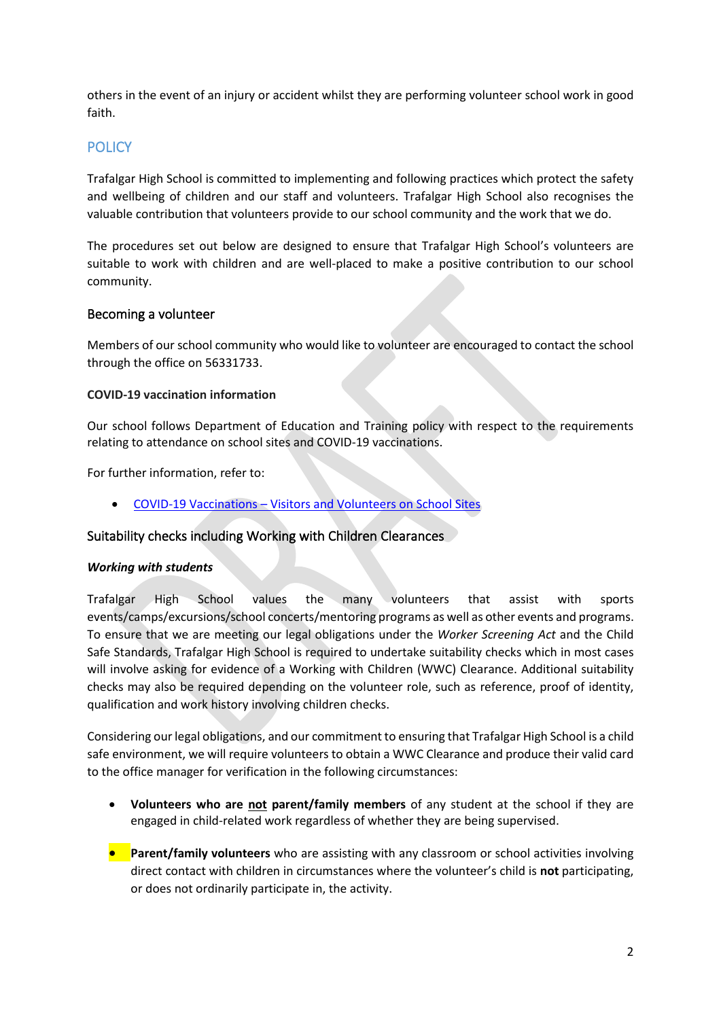others in the event of an injury or accident whilst they are performing volunteer school work in good faith.

# **POLICY**

Trafalgar High School is committed to implementing and following practices which protect the safety and wellbeing of children and our staff and volunteers. Trafalgar High School also recognises the valuable contribution that volunteers provide to our school community and the work that we do.

The procedures set out below are designed to ensure that Trafalgar High School's volunteers are suitable to work with children and are well-placed to make a positive contribution to our school community.

## Becoming a volunteer

Members of our school community who would like to volunteer are encouraged to contact the school through the office on 56331733.

## **COVID-19 vaccination information**

Our school follows Department of Education and Training policy with respect to the requirements relating to attendance on school sites and COVID-19 vaccinations.

For further information, refer to:

• COVID-19 Vaccinations – [Visitors and Volunteers on School Sites](https://www2.education.vic.gov.au/pal/covid-19-vaccinations-visitors-volunteers/policy)

## Suitability checks including Working with Children Clearances

## *Working with students*

Trafalgar High School values the many volunteers that assist with sports events/camps/excursions/school concerts/mentoring programs as well as other events and programs. To ensure that we are meeting our legal obligations under the *Worker Screening Act* and the Child Safe Standards, Trafalgar High School is required to undertake suitability checks which in most cases will involve asking for evidence of a Working with Children (WWC) Clearance. Additional suitability checks may also be required depending on the volunteer role, such as reference, proof of identity, qualification and work history involving children checks.

Considering our legal obligations, and our commitment to ensuring that Trafalgar High School is a child safe environment, we will require volunteers to obtain a WWC Clearance and produce their valid card to the office manager for verification in the following circumstances:

- **Volunteers who are not parent/family members** of any student at the school if they are engaged in child-related work regardless of whether they are being supervised.
- **• Parent/family volunteers** who are assisting with any classroom or school activities involving direct contact with children in circumstances where the volunteer's child is **not** participating, or does not ordinarily participate in, the activity.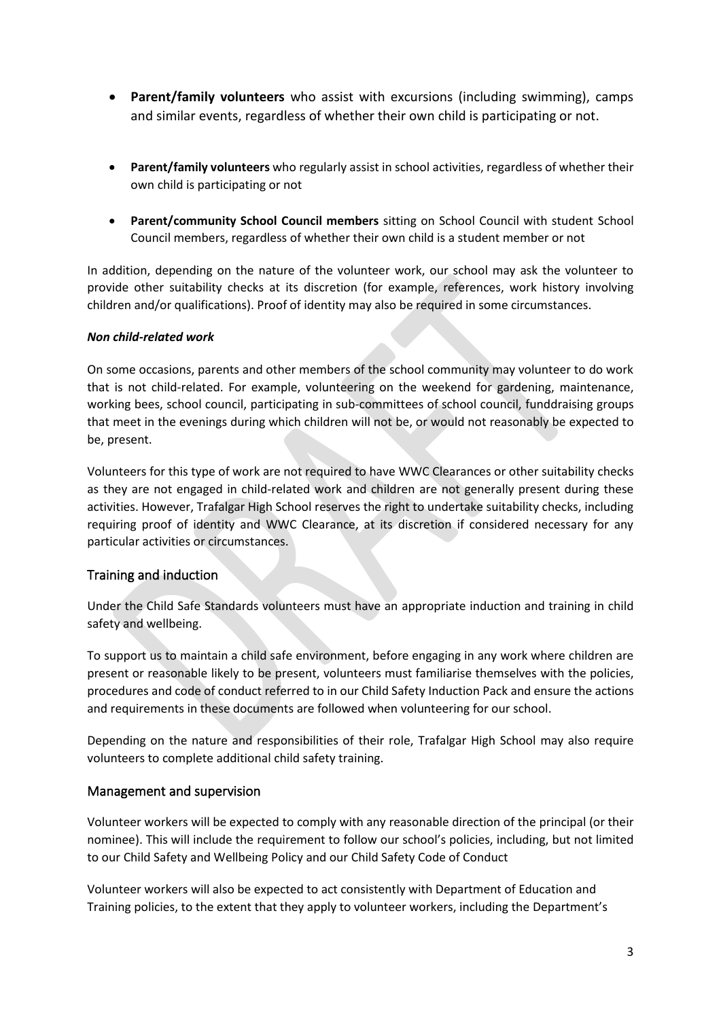- **Parent/family volunteers** who assist with excursions (including swimming), camps and similar events, regardless of whether their own child is participating or not.
- **Parent/family volunteers** who regularly assist in school activities, regardless of whether their own child is participating or not
- **Parent/community School Council members** sitting on School Council with student School Council members, regardless of whether their own child is a student member or not

In addition, depending on the nature of the volunteer work, our school may ask the volunteer to provide other suitability checks at its discretion (for example, references, work history involving children and/or qualifications). Proof of identity may also be required in some circumstances.

## *Non child-related work*

On some occasions, parents and other members of the school community may volunteer to do work that is not child-related. For example, volunteering on the weekend for gardening, maintenance, working bees, school council, participating in sub-committees of school council, funddraising groups that meet in the evenings during which children will not be, or would not reasonably be expected to be, present.

Volunteers for this type of work are not required to have WWC Clearances or other suitability checks as they are not engaged in child-related work and children are not generally present during these activities. However, Trafalgar High School reserves the right to undertake suitability checks, including requiring proof of identity and WWC Clearance, at its discretion if considered necessary for any particular activities or circumstances.

## Training and induction

Under the Child Safe Standards volunteers must have an appropriate induction and training in child safety and wellbeing.

To support us to maintain a child safe environment, before engaging in any work where children are present or reasonable likely to be present, volunteers must familiarise themselves with the policies, procedures and code of conduct referred to in our Child Safety Induction Pack and ensure the actions and requirements in these documents are followed when volunteering for our school.

Depending on the nature and responsibilities of their role, Trafalgar High School may also require volunteers to complete additional child safety training.

## Management and supervision

Volunteer workers will be expected to comply with any reasonable direction of the principal (or their nominee). This will include the requirement to follow our school's policies, including, but not limited to our Child Safety and Wellbeing Policy and our Child Safety Code of Conduct

Volunteer workers will also be expected to act consistently with Department of Education and Training policies, to the extent that they apply to volunteer workers, including the Department's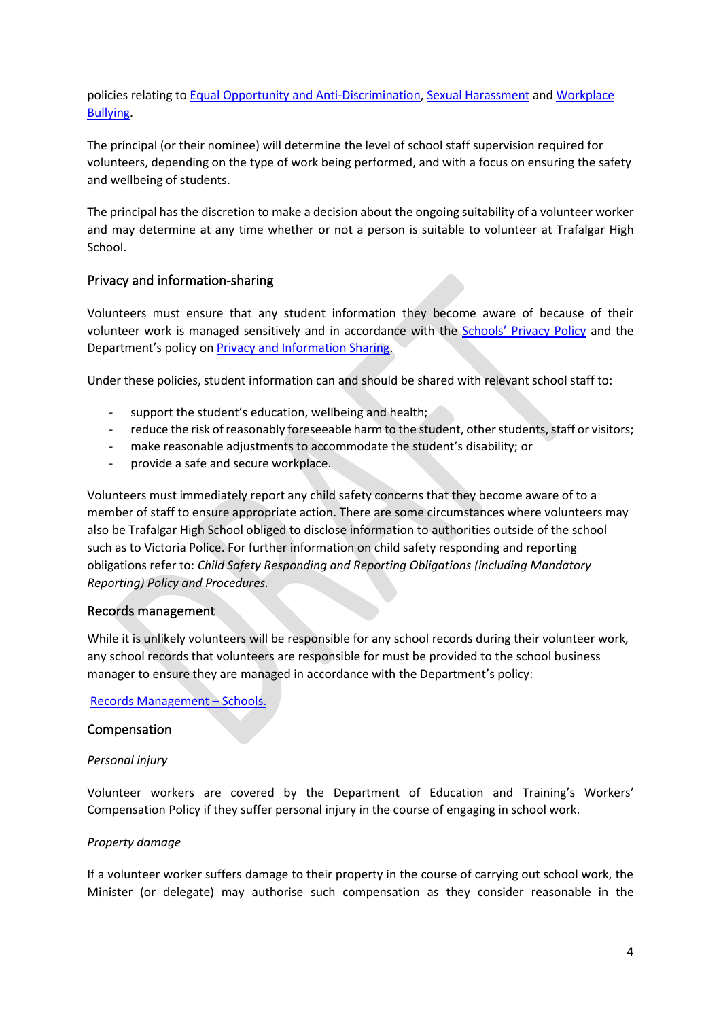policies relating to [Equal Opportunity and Anti-Discrimination,](https://www2.education.vic.gov.au/pal/equal-opportunity/policy-and-guidelines) [Sexual Harassment](https://www2.education.vic.gov.au/pal/sexual-harassment/overview) and [Workplace](https://www2.education.vic.gov.au/pal/workplace-bullying/policy)  [Bullying.](https://www2.education.vic.gov.au/pal/workplace-bullying/policy)

The principal (or their nominee) will determine the level of school staff supervision required for volunteers, depending on the type of work being performed, and with a focus on ensuring the safety and wellbeing of students.

The principal has the discretion to make a decision about the ongoing suitability of a volunteer worker and may determine at any time whether or not a person is suitable to volunteer at Trafalgar High School.

## Privacy and information-sharing

Volunteers must ensure that any student information they become aware of because of their volunteer work is managed sensitively and in accordance with the Schools' [Privacy Policy](https://www.education.vic.gov.au/Pages/schoolsprivacypolicy.aspx) and the Department's policy on [Privacy and Information Sharing.](https://www2.education.vic.gov.au/pal/privacy-information-sharing/policy)

Under these policies, student information can and should be shared with relevant school staff to:

- support the student's education, wellbeing and health;
- reduce the risk of reasonably foreseeable harm to the student, other students, staff or visitors;
- make reasonable adjustments to accommodate the student's disability; or
- provide a safe and secure workplace.

Volunteers must immediately report any child safety concerns that they become aware of to a member of staff to ensure appropriate action. There are some circumstances where volunteers may also be Trafalgar High School obliged to disclose information to authorities outside of the school such as to Victoria Police. For further information on child safety responding and reporting obligations refer to: *Child Safety Responding and Reporting Obligations (including Mandatory Reporting) Policy and Procedures.* 

## Records management

While it is unlikely volunteers will be responsible for any school records during their volunteer work, any school records that volunteers are responsible for must be provided to the school business manager to ensure they are managed in accordance with the Department's policy:

[Records Management](https://www2.education.vic.gov.au/pal/records-management/policy) – Schools.

#### Compensation

#### *Personal injury*

Volunteer workers are covered by the Department of Education and Training's Workers' Compensation Policy if they suffer personal injury in the course of engaging in school work.

#### *Property damage*

If a volunteer worker suffers damage to their property in the course of carrying out school work, the Minister (or delegate) may authorise such compensation as they consider reasonable in the